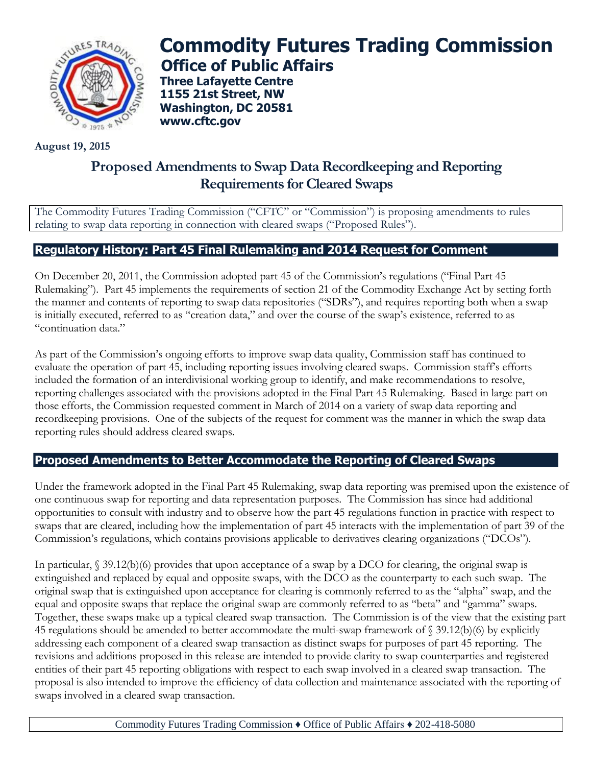

# **Commodity Futures Trading Commission Office of Public Affairs**

**Three Lafayette Centre 1155 21st Street, NW Washington, DC 20581 [www.cftc.gov](http://www.cftc.gov/)**

**August 19, 2015**

# **Proposed Amendments to Swap Data Recordkeeping and Reporting Requirements for Cleared Swaps**

The Commodity Futures Trading Commission ("CFTC" or "Commission") is proposing amendments to rules relating to swap data reporting in connection with cleared swaps ("Proposed Rules").

## **Regulatory History: Part 45 Final Rulemaking and 2014 Request for Comment**

On December 20, 2011, the Commission adopted part 45 of the Commission's regulations ("Final Part 45 Rulemaking"). Part 45 implements the requirements of section 21 of the Commodity Exchange Act by setting forth the manner and contents of reporting to swap data repositories ("SDRs"), and requires reporting both when a swap is initially executed, referred to as "creation data," and over the course of the swap's existence, referred to as "continuation data."

As part of the Commission's ongoing efforts to improve swap data quality, Commission staff has continued to evaluate the operation of part 45, including reporting issues involving cleared swaps. Commission staff's efforts included the formation of an interdivisional working group to identify, and make recommendations to resolve, reporting challenges associated with the provisions adopted in the Final Part 45 Rulemaking. Based in large part on those efforts, the Commission requested comment in March of 2014 on a variety of swap data reporting and recordkeeping provisions. One of the subjects of the request for comment was the manner in which the swap data reporting rules should address cleared swaps.

### **Proposed Amendments to Better Accommodate the Reporting of Cleared Swaps**

Under the framework adopted in the Final Part 45 Rulemaking, swap data reporting was premised upon the existence of one continuous swap for reporting and data representation purposes. The Commission has since had additional opportunities to consult with industry and to observe how the part 45 regulations function in practice with respect to swaps that are cleared, including how the implementation of part 45 interacts with the implementation of part 39 of the Commission's regulations, which contains provisions applicable to derivatives clearing organizations ("DCOs").

In particular, § 39.12(b)(6) provides that upon acceptance of a swap by a DCO for clearing, the original swap is extinguished and replaced by equal and opposite swaps, with the DCO as the counterparty to each such swap. The original swap that is extinguished upon acceptance for clearing is commonly referred to as the "alpha" swap, and the equal and opposite swaps that replace the original swap are commonly referred to as "beta" and "gamma" swaps. Together, these swaps make up a typical cleared swap transaction. The Commission is of the view that the existing part 45 regulations should be amended to better accommodate the multi-swap framework of § 39.12(b)(6) by explicitly addressing each component of a cleared swap transaction as distinct swaps for purposes of part 45 reporting. The revisions and additions proposed in this release are intended to provide clarity to swap counterparties and registered entities of their part 45 reporting obligations with respect to each swap involved in a cleared swap transaction. The proposal is also intended to improve the efficiency of data collection and maintenance associated with the reporting of swaps involved in a cleared swap transaction.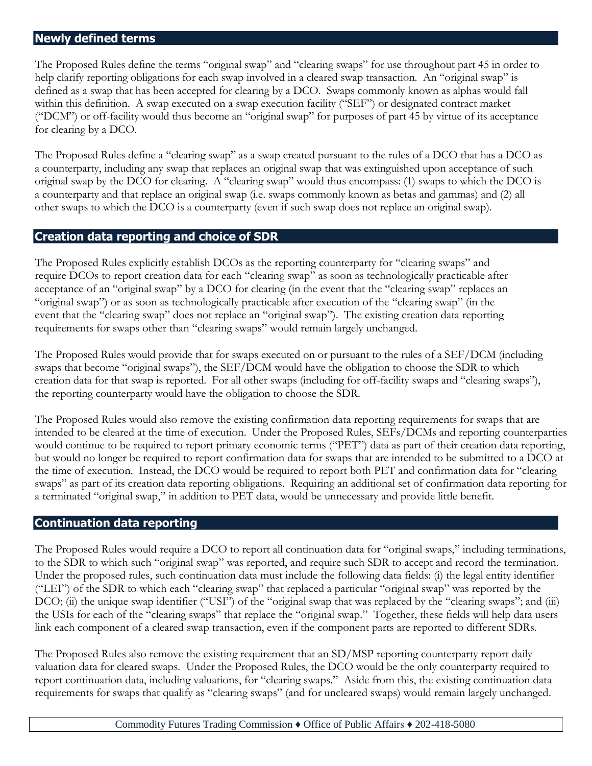#### **Newly defined terms**

The Proposed Rules define the terms "original swap" and "clearing swaps" for use throughout part 45 in order to help clarify reporting obligations for each swap involved in a cleared swap transaction. An "original swap" is defined as a swap that has been accepted for clearing by a DCO. Swaps commonly known as alphas would fall within this definition. A swap executed on a swap execution facility ("SEF") or designated contract market ("DCM") or off-facility would thus become an "original swap" for purposes of part 45 by virtue of its acceptance for clearing by a DCO.

The Proposed Rules define a "clearing swap" as a swap created pursuant to the rules of a DCO that has a DCO as a counterparty, including any swap that replaces an original swap that was extinguished upon acceptance of such original swap by the DCO for clearing. A "clearing swap" would thus encompass: (1) swaps to which the DCO is a counterparty and that replace an original swap (i.e. swaps commonly known as betas and gammas) and (2) all other swaps to which the DCO is a counterparty (even if such swap does not replace an original swap).

#### **Creation data reporting and choice of SDR**

The Proposed Rules explicitly establish DCOs as the reporting counterparty for "clearing swaps" and require DCOs to report creation data for each "clearing swap" as soon as technologically practicable after acceptance of an "original swap" by a DCO for clearing (in the event that the "clearing swap" replaces an "original swap") or as soon as technologically practicable after execution of the "clearing swap" (in the event that the "clearing swap" does not replace an "original swap"). The existing creation data reporting requirements for swaps other than "clearing swaps" would remain largely unchanged.

The Proposed Rules would provide that for swaps executed on or pursuant to the rules of a SEF/DCM (including swaps that become "original swaps"), the SEF/DCM would have the obligation to choose the SDR to which creation data for that swap is reported. For all other swaps (including for off-facility swaps and "clearing swaps"), the reporting counterparty would have the obligation to choose the SDR.

The Proposed Rules would also remove the existing confirmation data reporting requirements for swaps that are intended to be cleared at the time of execution. Under the Proposed Rules, SEFs/DCMs and reporting counterparties would continue to be required to report primary economic terms ("PET") data as part of their creation data reporting, but would no longer be required to report confirmation data for swaps that are intended to be submitted to a DCO at the time of execution. Instead, the DCO would be required to report both PET and confirmation data for "clearing swaps" as part of its creation data reporting obligations. Requiring an additional set of confirmation data reporting for a terminated "original swap," in addition to PET data, would be unnecessary and provide little benefit.

#### **Continuation data reporting**

The Proposed Rules would require a DCO to report all continuation data for "original swaps," including terminations, to the SDR to which such "original swap" was reported, and require such SDR to accept and record the termination. Under the proposed rules, such continuation data must include the following data fields: (i) the legal entity identifier ("LEI") of the SDR to which each "clearing swap" that replaced a particular "original swap" was reported by the DCO; (ii) the unique swap identifier ("USI") of the "original swap that was replaced by the "clearing swaps"; and (iii) the USIs for each of the "clearing swaps" that replace the "original swap." Together, these fields will help data users link each component of a cleared swap transaction, even if the component parts are reported to different SDRs.

The Proposed Rules also remove the existing requirement that an SD/MSP reporting counterparty report daily valuation data for cleared swaps. Under the Proposed Rules, the DCO would be the only counterparty required to report continuation data, including valuations, for "clearing swaps." Aside from this, the existing continuation data requirements for swaps that qualify as "clearing swaps" (and for uncleared swaps) would remain largely unchanged.